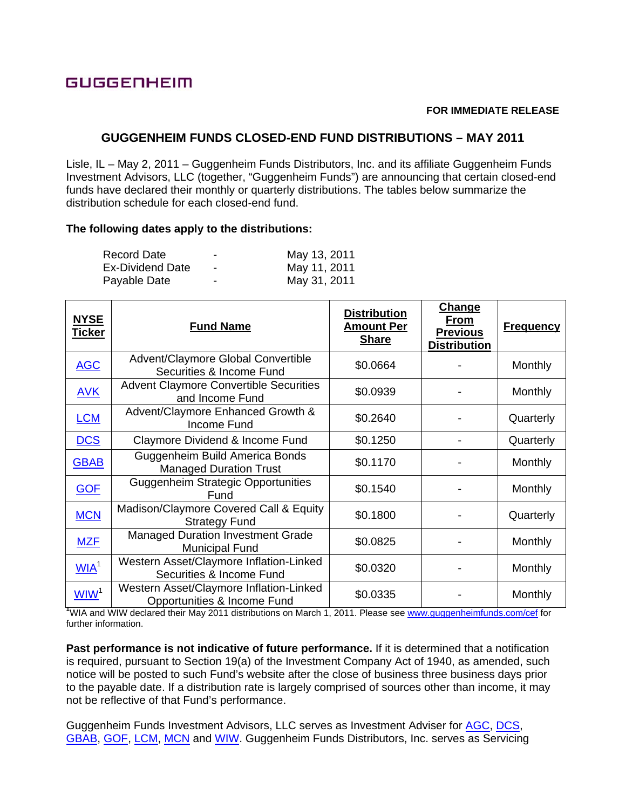## **GUGGENHEIM**

## **FOR IMMEDIATE RELEASE**

## **GUGGENHEIM FUNDS CLOSED-END FUND DISTRIBUTIONS – MAY 2011**

Lisle, IL – May 2, 2011 – Guggenheim Funds Distributors, Inc. and its affiliate Guggenheim Funds Investment Advisors, LLC (together, "Guggenheim Funds") are announcing that certain closed-end funds have declared their monthly or quarterly distributions. The tables below summarize the distribution schedule for each closed-end fund.

## **The following dates apply to the distributions:**

| Record Date             | -                        | May 13, 2011 |
|-------------------------|--------------------------|--------------|
| <b>Ex-Dividend Date</b> | $\overline{\phantom{a}}$ | May 11, 2011 |
| Payable Date            | $\overline{\phantom{0}}$ | May 31, 2011 |

| <b>NYSE</b><br><u>Ticker</u> | <b>Fund Name</b>                                                       | <b>Distribution</b><br><u>Amount Per</u><br><b>Share</b> | Change<br><b>From</b><br><b>Previous</b><br><b>Distribution</b> | <b>Frequency</b> |
|------------------------------|------------------------------------------------------------------------|----------------------------------------------------------|-----------------------------------------------------------------|------------------|
| <b>AGC</b>                   | Advent/Claymore Global Convertible<br>Securities & Income Fund         | \$0.0664                                                 |                                                                 | Monthly          |
| <b>AVK</b>                   | <b>Advent Claymore Convertible Securities</b><br>and Income Fund       | \$0.0939                                                 |                                                                 | Monthly          |
| <b>LCM</b>                   | Advent/Claymore Enhanced Growth &<br>Income Fund                       | \$0.2640                                                 |                                                                 | Quarterly        |
| <b>DCS</b>                   | Claymore Dividend & Income Fund                                        | \$0.1250                                                 |                                                                 | Quarterly        |
| <b>GBAB</b>                  | Guggenheim Build America Bonds<br><b>Managed Duration Trust</b>        | \$0.1170                                                 |                                                                 | Monthly          |
| <b>GOF</b>                   | <b>Guggenheim Strategic Opportunities</b><br>Fund                      | \$0.1540                                                 |                                                                 | Monthly          |
| <b>MCN</b>                   | Madison/Claymore Covered Call & Equity<br><b>Strategy Fund</b>         | \$0.1800                                                 |                                                                 | Quarterly        |
| <b>MZF</b>                   | <b>Managed Duration Investment Grade</b><br><b>Municipal Fund</b>      | \$0.0825                                                 |                                                                 | Monthly          |
| WIA <sup>1</sup>             | Western Asset/Claymore Inflation-Linked<br>Securities & Income Fund    | \$0.0320                                                 |                                                                 | Monthly          |
| WW <sup>1</sup>              | Western Asset/Claymore Inflation-Linked<br>Opportunities & Income Fund | \$0.0335                                                 |                                                                 | Monthly          |

<sup>1</sup>WIA and WIW declared their May 2011 distributions on March 1, 2011. Please see www.guggenheimfunds.com/cef for further information.

**Past performance is not indicative of future performance.** If it is determined that a notification is required, pursuant to Section 19(a) of the Investment Company Act of 1940, as amended, such notice will be posted to such Fund's website after the close of business three business days prior to the payable date. If a distribution rate is largely comprised of sources other than income, it may not be reflective of that Fund's performance.

Guggenheim Funds Investment Advisors, LLC serves as Investment Adviser for AGC, DCS, GBAB, GOF, LCM, MCN and WIW. Guggenheim Funds Distributors, Inc. serves as Servicing